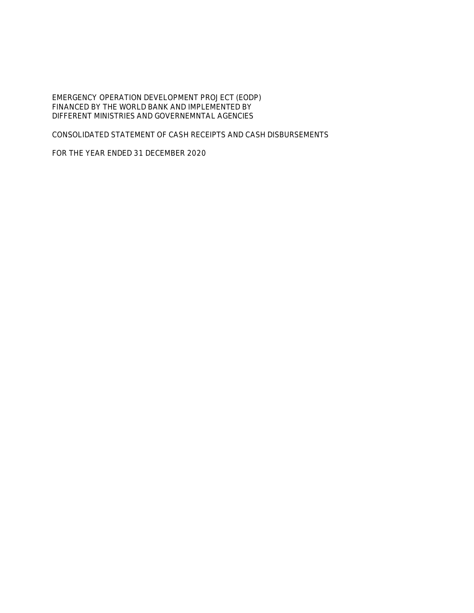EMERGENCY OPERATION DEVELOPMENT PROJECT (EODP) FINANCED BY THE WORLD BANK AND IMPLEMENTED BY DIFFERENT MINISTRIES AND GOVERNEMNTAL AGENCIES

CONSOLIDATED STATEMENT OF CASH RECEIPTS AND CASH DISBURSEMENTS

FOR THE YEAR ENDED 31 DECEMBER 2020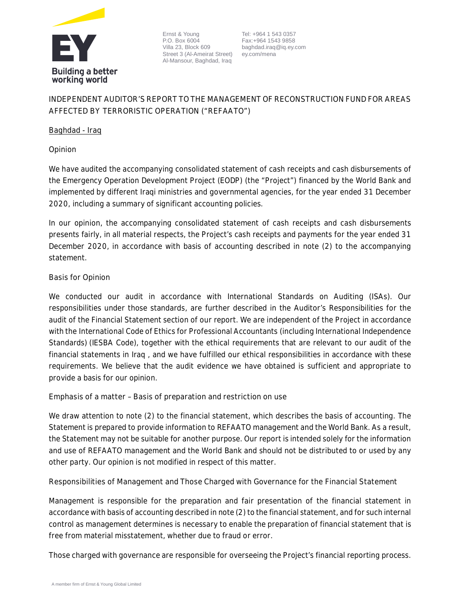

Ernst & Young P.O. Box 6004 Villa 23, Block 609 Street 3 (Al-Ameirat Street) ey.com/mena Al-Mansour, Baghdad, Iraq

 Tel: +964 1 543 0357 Fax:+964 1543 9858 baghdad.iraq@iq.ey.com

# **INDEPENDENT AUDITOR'S REPORT TO THE MANAGEMENT OF RECONSTRUCTION FUND FOR AREAS AFFECTED BY TERRORISTIC OPERATION ("REFAATO")**

#### **Baghdad - Iraq**

**Opinion**

We have audited the accompanying consolidated statement of cash receipts and cash disbursements of the Emergency Operation Development Project (EODP) (the "Project") financed by the World Bank and implemented by different Iraqi ministries and governmental agencies, for the year ended 31 December 2020, including a summary of significant accounting policies.

In our opinion, the accompanying consolidated statement of cash receipts and cash disbursements presents fairly, in all material respects, the Project's cash receipts and payments for the year ended 31 December 2020, in accordance with basis of accounting described in note (2) to the accompanying statement.

#### **Basis for Opinion**

We conducted our audit in accordance with International Standards on Auditing (ISAs). Our responsibilities under those standards, are further described in the Auditor's Responsibilities for the audit of the Financial Statement section of our report. We are independent of the Project in accordance with the International Code of Ethics for Professional Accountants (including International Independence Standards) (IESBA Code), together with the ethical requirements that are relevant to our audit of the financial statements in Iraq , and we have fulfilled our ethical responsibilities in accordance with these requirements. We believe that the audit evidence we have obtained is sufficient and appropriate to provide a basis for our opinion.

**Emphasis of a matter – Basis of preparation and restriction on use**

We draw attention to note (2) to the financial statement, which describes the basis of accounting. The Statement is prepared to provide information to REFAATO management and the World Bank. As a result, the Statement may not be suitable for another purpose. Our report is intended solely for the information and use of REFAATO management and the World Bank and should not be distributed to or used by any other party. Our opinion is not modified in respect of this matter.

**Responsibilities of Management and Those Charged with Governance for the Financial Statement**

Management is responsible for the preparation and fair presentation of the financial statement in accordance with basis of accounting described in note (2) to the financial statement, and for such internal control as management determines is necessary to enable the preparation of financial statement that is free from material misstatement, whether due to fraud or error.

Those charged with governance are responsible for overseeing the Project's financial reporting process.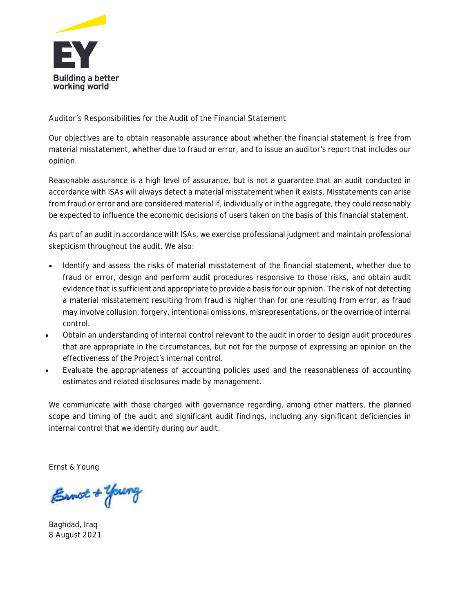

**Auditor's Responsibilities for the Audit of the Financial Statement**

Our objectives are to obtain reasonable assurance about whether the financial statement is free from material misstatement, whether due to fraud or error, and to issue an auditor's report that includes our opinion.

Reasonable assurance is a high level of assurance, but is not a guarantee that an audit conducted in accordance with ISAs will always detect a material misstatement when it exists. Misstatements can arise from fraud or error and are considered material if, individually or in the aggregate, they could reasonably be expected to influence the economic decisions of users taken on the basis of this financial statement.

As part of an audit in accordance with ISAs, we exercise professional judgment and maintain professional skepticism throughout the audit. We also:

- · Identify and assess the risks of material misstatement of the financial statement, whether due to fraud or error, design and perform audit procedures responsive to those risks, and obtain audit evidence that is sufficient and appropriate to provide a basis for our opinion. The risk of not detecting a material misstatement resulting from fraud is higher than for one resulting from error, as fraud may involve collusion, forgery, intentional omissions, misrepresentations, or the override of internal control.
- · Obtain an understanding of internal control relevant to the audit in order to design audit procedures that are appropriate in the circumstances, but not for the purpose of expressing an opinion on the effectiveness of the Project's internal control.
- Evaluate the appropriateness of accounting policies used and the reasonableness of accounting estimates and related disclosures made by management.

We communicate with those charged with governance regarding, among other matters, the planned scope and timing of the audit and significant audit findings, including any significant deficiencies in internal control that we identify during our audit.

Ernst & Young

Ernst + Young

Baghdad, Iraq 8 August 2021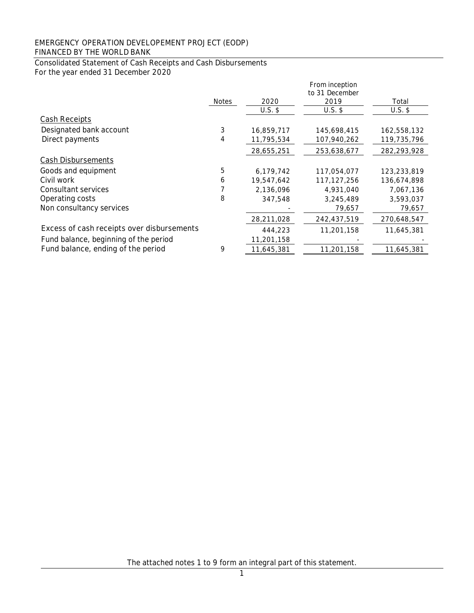# Consolidated Statement of Cash Receipts and Cash Disbursements For the year ended 31 December 2020

|                                            |              |            | From inception |             |
|--------------------------------------------|--------------|------------|----------------|-------------|
|                                            |              |            | to 31 December |             |
|                                            | <b>Notes</b> | 2020       | 2019           | Total       |
|                                            |              | $U.S.$ \$  | $U.S.$ \$      | $U.S.$ \$   |
| Cash Receipts                              |              |            |                |             |
| Designated bank account                    | 3            | 16,859,717 | 145,698,415    | 162,558,132 |
| Direct payments                            | 4            | 11,795,534 | 107,940,262    | 119,735,796 |
|                                            |              | 28,655,251 | 253,638,677    | 282,293,928 |
| Cash Disbursements                         |              |            |                |             |
| Goods and equipment                        | 5            | 6,179,742  | 117,054,077    | 123,233,819 |
| Civil work                                 | 6            | 19,547,642 | 117,127,256    | 136,674,898 |
| Consultant services                        |              | 2,136,096  | 4,931,040      | 7,067,136   |
| Operating costs                            | 8            | 347,548    | 3,245,489      | 3,593,037   |
| Non consultancy services                   |              |            | 79,657         | 79,657      |
|                                            |              | 28,211,028 | 242,437,519    | 270,648,547 |
| Excess of cash receipts over disbursements |              | 444,223    | 11,201,158     | 11,645,381  |
| Fund balance, beginning of the period      |              | 11,201,158 |                |             |
| Fund balance, ending of the period         | 9            | 11,645,381 | 11,201,158     | 11,645,381  |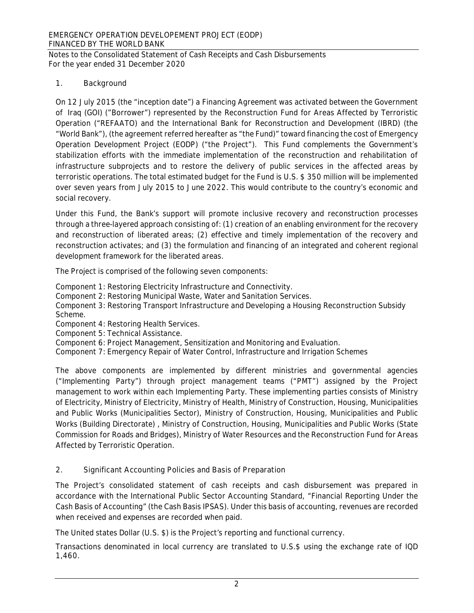Notes to the Consolidated Statement of Cash Receipts and Cash Disbursements For the year ended 31 December 2020

# **1. Background**

On 12 July 2015 (the "inception date") a Financing Agreement was activated between the Government of Iraq (GOI) ("Borrower") represented by the Reconstruction Fund for Areas Affected by Terroristic Operation ("REFAATO) and the International Bank for Reconstruction and Development (IBRD) (the "World Bank"), (the agreement referred hereafter as "the Fund)" toward financing the cost of Emergency Operation Development Project (EODP) ("the Project"). This Fund complements the Government's stabilization efforts with the immediate implementation of the reconstruction and rehabilitation of infrastructure subprojects and to restore the delivery of public services in the affected areas by terroristic operations. The total estimated budget for the Fund is U.S. \$ 350 million will be implemented over seven years from July 2015 to June 2022. This would contribute to the country's economic and social recovery.

Under this Fund, the Bank's support will promote inclusive recovery and reconstruction processes through a three-layered approach consisting of: (1) creation of an enabling environment for the recovery and reconstruction of liberated areas; (2) effective and timely implementation of the recovery and reconstruction activates; and (3) the formulation and financing of an integrated and coherent regional development framework for the liberated areas.

The Project is comprised of the following seven components:

Component 1: Restoring Electricity Infrastructure and Connectivity.

Component 2: Restoring Municipal Waste, Water and Sanitation Services.

Component 3: Restoring Transport Infrastructure and Developing a Housing Reconstruction Subsidy Scheme.

Component 4: Restoring Health Services.

- Component 5: Technical Assistance.
- Component 6: Project Management, Sensitization and Monitoring and Evaluation.

Component 7: Emergency Repair of Water Control, Infrastructure and Irrigation Schemes

The above components are implemented by different ministries and governmental agencies ("Implementing Party") through project management teams ("PMT") assigned by the Project management to work within each Implementing Party. These implementing parties consists of Ministry of Electricity, Ministry of Electricity, Ministry of Health, Ministry of Construction, Housing, Municipalities and Public Works (Municipalities Sector), Ministry of Construction, Housing, Municipalities and Public Works (Building Directorate) , Ministry of Construction, Housing, Municipalities and Public Works (State Commission for Roads and Bridges), Ministry of Water Resources and the Reconstruction Fund for Areas Affected by Terroristic Operation.

**2. Significant Accounting Policies and Basis of Preparation**

The Project's consolidated statement of cash receipts and cash disbursement was prepared in accordance with the International Public Sector Accounting Standard, "Financial Reporting Under the Cash Basis of Accounting" (the Cash Basis IPSAS). Under this basis of accounting, revenues are recorded when received and expenses are recorded when paid.

The United states Dollar (U.S. \$) is the Project's reporting and functional currency.

Transactions denominated in local currency are translated to U.S.\$ using the exchange rate of IQD 1,460.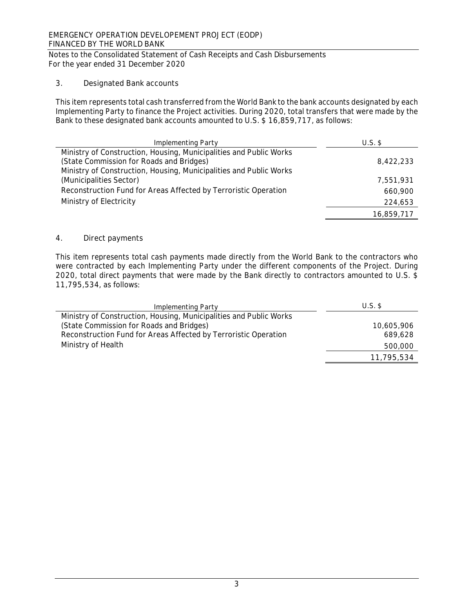Notes to the Consolidated Statement of Cash Receipts and Cash Disbursements For the year ended 31 December 2020

**3. Designated Bank accounts**

This item represents total cash transferred from the World Bank to the bank accounts designated by each Implementing Party to finance the Project activities. During 2020, total transfers that were made by the Bank to these designated bank accounts amounted to U.S. \$ 16,859,717, as follows :

| Implementing Party                                                 | $U.S.$ \$  |
|--------------------------------------------------------------------|------------|
| Ministry of Construction, Housing, Municipalities and Public Works |            |
| (State Commission for Roads and Bridges)                           | 8,422,233  |
| Ministry of Construction, Housing, Municipalities and Public Works |            |
| (Municipalities Sector)                                            | 7,551,931  |
| Reconstruction Fund for Areas Affected by Terroristic Operation    | 660,900    |
| Ministry of Electricity                                            | 224,653    |
|                                                                    | 16,859,717 |

### **4. Direct payments**

This item represents total cash payments made directly from the World Bank to the contractors who were contracted by each Implementing Party under the different components of the Project. During 2020, total direct payments that were made by the Bank directly to contractors amounted to U.S. \$ 11,795,534, as follows :

| Implementing Party                                                 | $U.S.$ \$  |
|--------------------------------------------------------------------|------------|
| Ministry of Construction, Housing, Municipalities and Public Works |            |
| (State Commission for Roads and Bridges)                           | 10,605,906 |
| Reconstruction Fund for Areas Affected by Terroristic Operation    | 689,628    |
| Ministry of Health                                                 | 500,000    |
|                                                                    | 11,795,534 |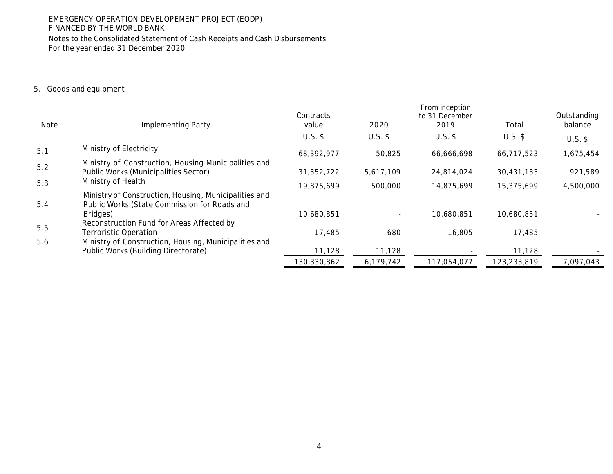Notes to the Consolidated Statement of Cash Receipts and Cash Disbursements For the year ended 31 December 2020

# **5. Goods and equipment**

| Note | <b>Implementing Party</b>                                                                                         | Contracts<br>value | 2020      | From inception<br>to 31 December<br>2019 | Total       | Outstanding<br>balance |
|------|-------------------------------------------------------------------------------------------------------------------|--------------------|-----------|------------------------------------------|-------------|------------------------|
|      |                                                                                                                   | $U.S.$ \$          | $U.S.$ \$ | $U.S.$ \$                                | $U.S.$ \$   | $U.S.$ \$              |
| 5.1  | Ministry of Electricity                                                                                           | 68,392,977         | 50,825    | 66,666,698                               | 66,717,523  | 1,675,454              |
| 5.2  | Ministry of Construction, Housing Municipalities and<br>Public Works (Municipalities Sector)                      | 31,352,722         | 5,617,109 | 24,814,024                               | 30,431,133  | 921,589                |
| 5.3  | Ministry of Health                                                                                                | 19,875,699         | 500,000   | 14,875,699                               | 15,375,699  | 4,500,000              |
| 5.4  | Ministry of Construction, Housing, Municipalities and<br>Public Works (State Commission for Roads and<br>Bridges) | 10,680,851         |           | 10,680,851                               | 10,680,851  |                        |
| 5.5  | Reconstruction Fund for Areas Affected by<br>Terroristic Operation                                                | 17,485             | 680       | 16,805                                   | 17,485      |                        |
| 5.6  | Ministry of Construction, Housing, Municipalities and<br>Public Works (Building Directorate)                      | 11,128             | 11,128    |                                          | 11,128      |                        |
|      |                                                                                                                   | 130,330,862        | 6,179,742 | 117,054,077                              | 123,233,819 | 7,097,043              |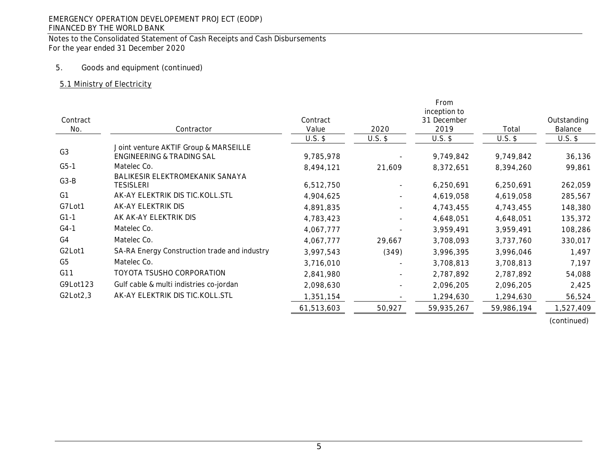#### Notes to the Consolidated Statement of Cash Receipts and Cash Disbursements For the year ended 31 December 2020

### **5. Goods and equipment (continued)**

#### **5.1 Ministry of Electricity**

|                 |                                                                               |                   |           | From                                |            |                        |
|-----------------|-------------------------------------------------------------------------------|-------------------|-----------|-------------------------------------|------------|------------------------|
| Contract<br>No. | Contractor                                                                    | Contract<br>Value | 2020      | inception to<br>31 December<br>2019 | Total      | Outstanding<br>Balance |
|                 |                                                                               | $U.S.$ \$         | $U.S.$ \$ | $U.S.$ \$                           | $U.S.$ \$  | $U.S.$ \$              |
| G <sub>3</sub>  | Joint venture AKTIF Group & MARSEILLE<br><b>ENGINEERING &amp; TRADING SAL</b> | 9,785,978         |           | 9,749,842                           | 9,749,842  | 36,136                 |
| $G5-1$          | Matelec Co.                                                                   | 8,494,121         | 21,609    | 8,372,651                           | 8,394,260  | 99,861                 |
| $G3-B$          | BALIKESIR ELEKTROMEKANIK SANAYA<br><b>TESISLERI</b>                           | 6,512,750         |           | 6,250,691                           | 6,250,691  | 262,059                |
| G <sub>1</sub>  | AK-AY ELEKTRIK DIS TIC.KOLL.STL                                               | 4,904,625         |           | 4,619,058                           | 4,619,058  | 285,567                |
| G7Lot1          | AK-AY ELEKTRIK DIS                                                            | 4,891,835         |           | 4,743,455                           | 4,743,455  | 148,380                |
| $G1-1$          | AK AK-AY ELEKTRIK DIS                                                         | 4,783,423         |           | 4,648,051                           | 4,648,051  | 135,372                |
| $G4-1$          | Matelec Co.                                                                   | 4,067,777         |           | 3,959,491                           | 3,959,491  | 108,286                |
| G4              | Matelec Co.                                                                   | 4,067,777         | 29,667    | 3,708,093                           | 3,737,760  | 330,017                |
| G2Lot1          | SA-RA Energy Construction trade and industry                                  | 3,997,543         | (349)     | 3,996,395                           | 3,996,046  | 1,497                  |
| G <sub>5</sub>  | Matelec Co.                                                                   | 3,716,010         |           | 3,708,813                           | 3,708,813  | 7,197                  |
| G11             | TOYOTA TSUSHO CORPORATION                                                     | 2,841,980         |           | 2,787,892                           | 2,787,892  | 54,088                 |
| G9Lot123        | Gulf cable & multi indistries co-jordan                                       | 2,098,630         |           | 2,096,205                           | 2,096,205  | 2,425                  |
| G2Lot2,3        | AK-AY ELEKTRIK DIS TIC.KOLL.STL                                               | 1,351,154         |           | 1,294,630                           | 1,294,630  | 56,524                 |
|                 |                                                                               | 61,513,603        | 50,927    | 59,935,267                          | 59,986,194 | 1,527,409              |

 **(continued)**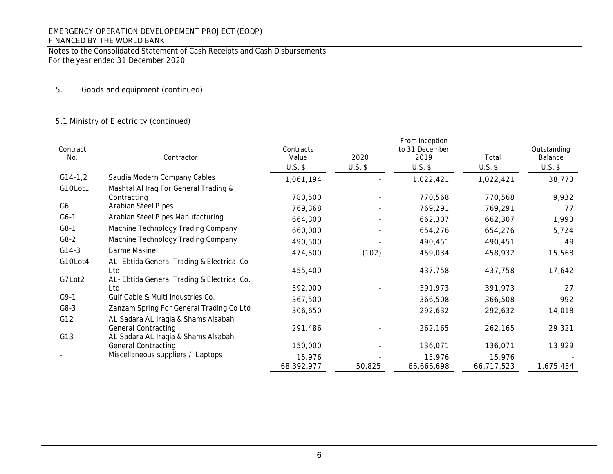Notes to the Consolidated Statement of Cash Receipts and Cash Disbursements For the year ended 31 December 2020

#### **5. Goods and equipment (continued)**

### **5.1 Ministry of Electricity (continued)**

|                 |                                                                   |                    |           | From inception         |            |                        |
|-----------------|-------------------------------------------------------------------|--------------------|-----------|------------------------|------------|------------------------|
| Contract<br>No. | Contractor                                                        | Contracts<br>Value | 2020      | to 31 December<br>2019 | Total      | Outstanding<br>Balance |
|                 |                                                                   | $U.S.$ \$          | $U.S.$ \$ | $U.S.$ \$              | $U.S.$ \$  | $U.S.$ \$              |
| $G14-1,2$       | Saudia Modern Company Cables                                      | 1,061,194          |           | 1,022,421              | 1,022,421  | 38,773                 |
| G10Lot1         | Mashtal Al Iraq For General Trading &                             |                    |           |                        |            |                        |
|                 | Contracting                                                       | 780,500            |           | 770,568                | 770,568    | 9,932                  |
| G6              | Arabian Steel Pipes                                               | 769,368            |           | 769,291                | 769,291    | 77                     |
| $G6-1$          | Arabian Steel Pipes Manufacturing                                 | 664,300            |           | 662,307                | 662,307    | 1,993                  |
| $G8-1$          | Machine Technology Trading Company                                | 660,000            |           | 654,276                | 654,276    | 5,724                  |
| $G8-2$          | Machine Technology Trading Company                                | 490,500            |           | 490,451                | 490,451    | 49                     |
| G14-3           | <b>Barme Makine</b>                                               | 474,500            | (102)     | 459,034                | 458,932    | 15,568                 |
| G10Lot4         | AL- Ebtida General Trading & Electrical Co<br>Ltd                 | 455,400            |           | 437,758                | 437,758    | 17,642                 |
| G7Lot2          | AL- Ebtida General Trading & Electrical Co.<br>Ltd                | 392,000            |           | 391,973                | 391,973    | 27                     |
| $G9-1$          | Gulf Cable & Multi Industries Co.                                 | 367,500            |           | 366,508                | 366,508    | 992                    |
| $G8-3$          | Zanzam Spring For General Trading Co Ltd                          | 306,650            |           | 292,632                | 292,632    | 14,018                 |
| G12             | AL Sadara AL Iraqia & Shams Alsabah<br><b>General Contracting</b> | 291,486            |           | 262,165                | 262,165    | 29,321                 |
| G13             | AL Sadara AL Iraqia & Shams Alsabah<br><b>General Contracting</b> | 150,000            |           | 136,071                | 136,071    | 13,929                 |
|                 | Miscellaneous suppliers / Laptops                                 | 15,976             |           | 15,976                 | 15,976     |                        |
|                 |                                                                   | 68,392,977         | 50,825    | 66,666,698             | 66,717,523 | 1,675,454              |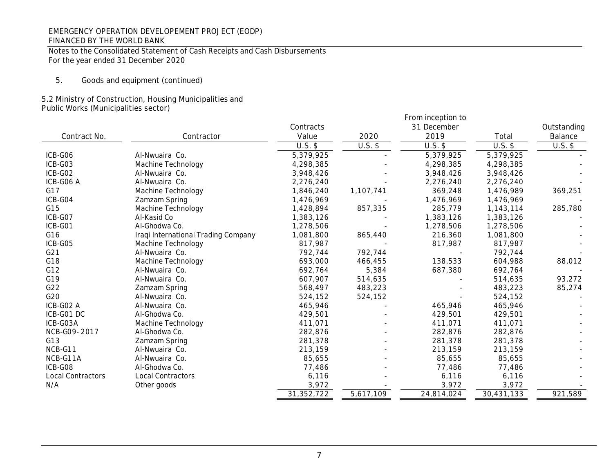Notes to the Consolidated Statement of Cash Receipts and Cash Disbursements For the year ended 31 December 2020

### **5. Goods and equipment (continued)**

#### **5.2 Ministry of Construction, Housing Municipalities and Public Works (Municipalities sector)**

| Contract No.      | Contractor                          | Contracts<br>Value | 2020      | From inception to<br>31 December<br>2019 | Total      | Outstanding<br>Balance |
|-------------------|-------------------------------------|--------------------|-----------|------------------------------------------|------------|------------------------|
|                   |                                     | $U.S.$ \$          | $U.S.$ \$ | $U.S.$ \$                                | $U.S.$ \$  | $U.S.$ \$              |
|                   |                                     |                    |           |                                          |            |                        |
| ICB-GO6           | Al-Nwuaira Co.                      | 5,379,925          |           | 5,379,925                                | 5,379,925  |                        |
| ICB-G03           | Machine Technology                  | 4,298,385          |           | 4,298,385                                | 4,298,385  |                        |
| ICB-GO2           | Al-Nwuaira Co.                      | 3,948,426          |           | 3,948,426                                | 3,948,426  |                        |
| ICB-GO6 A         | Al-Nwuaira Co.                      | 2,276,240          |           | 2,276,240                                | 2,276,240  |                        |
| G17               | Machine Technology                  | 1,846,240          | 1,107,741 | 369,248                                  | 1,476,989  | 369,251                |
| ICB-GO4           | Zamzam Spring                       | 1,476,969          |           | 1,476,969                                | 1,476,969  |                        |
| G15               | Machine Technology                  | 1,428,894          | 857,335   | 285,779                                  | 1,143,114  | 285,780                |
| ICB-GO7           | Al-Kasid Co                         | 1,383,126          |           | 1,383,126                                | 1,383,126  |                        |
| ICB-G01           | Al-Ghodwa Co.                       | 1,278,506          |           | 1,278,506                                | 1,278,506  |                        |
| G16               | Iraqi International Trading Company | 1,081,800          | 865,440   | 216,360                                  | 1,081,800  |                        |
| ICB-G05           | Machine Technology                  | 817,987            |           | 817,987                                  | 817,987    |                        |
| G <sub>21</sub>   | Al-Nwuaira Co.                      | 792,744            | 792,744   |                                          | 792,744    |                        |
| G18               | Machine Technology                  | 693,000            | 466,455   | 138,533                                  | 604,988    | 88,012                 |
| G12               | Al-Nwuaira Co.                      | 692,764            | 5,384     | 687,380                                  | 692,764    |                        |
| G19               | Al-Nwuaira Co.                      | 607,907            | 514,635   |                                          | 514,635    | 93,272                 |
| G22               | Zamzam Spring                       | 568,497            | 483,223   |                                          | 483,223    | 85,274                 |
| G <sub>20</sub>   | Al-Nwuaira Co.                      | 524,152            | 524,152   |                                          | 524,152    |                        |
| ICB-GO2 A         | Al-Nwuaira Co.                      | 465,946            |           | 465,946                                  | 465,946    |                        |
| ICB-G01 DC        | Al-Ghodwa Co.                       | 429,501            |           | 429,501                                  | 429,501    |                        |
| ICB-GO3A          | Machine Technology                  | 411,071            |           | 411.071                                  | 411,071    |                        |
| NCB-G09-2017      | Al-Ghodwa Co.                       | 282,876            |           | 282,876                                  | 282,876    |                        |
| G13               | Zamzam Spring                       | 281,378            |           | 281,378                                  | 281,378    |                        |
| NCB-G11           | Al-Nwuaira Co.                      | 213,159            |           | 213,159                                  | 213,159    |                        |
| NCB-G11A          | Al-Nwuaira Co.                      | 85,655             |           | 85,655                                   | 85,655     |                        |
| ICB-G08           | Al-Ghodwa Co.                       | 77,486             |           | 77,486                                   | 77,486     |                        |
| Local Contractors | <b>Local Contractors</b>            | 6,116              |           | 6,116                                    | 6,116      |                        |
| N/A               | Other goods                         | 3,972              |           | 3,972                                    | 3,972      |                        |
|                   |                                     | 31,352,722         | 5,617,109 | 24,814,024                               | 30,431,133 | 921,589                |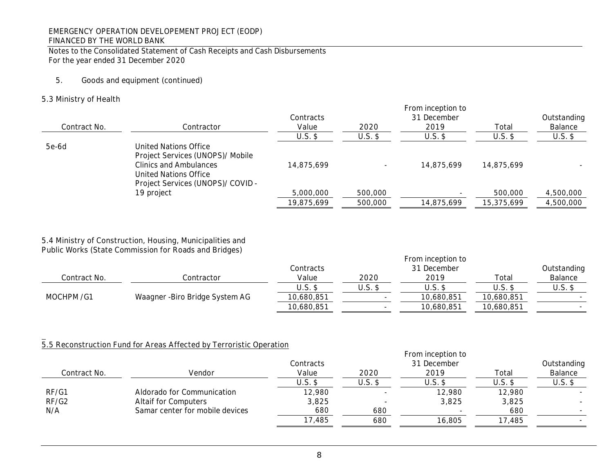Notes to the Consolidated Statement of Cash Receipts and Cash Disbursements For the year ended 31 December 2020

#### **5. Goods and equipment (continued)**

#### **5.3 Ministry of Health**

| Contract No. | Contractor                                                                                                                                               | Contracts<br>Value | 2020      | From inception to<br>31 December<br>2019 | Total      | Outstanding<br>Balance |
|--------------|----------------------------------------------------------------------------------------------------------------------------------------------------------|--------------------|-----------|------------------------------------------|------------|------------------------|
|              |                                                                                                                                                          | $U.S.$ \$          | $U.S.$ \$ | $U.S.$ \$                                | $U.S.$ \$  | $U.S.$ \$              |
| 5e-6d        | United Nations Office<br>Project Services (UNOPS)/ Mobile<br><b>Clinics and Ambulances</b><br>United Nations Office<br>Project Services (UNOPS)/ COVID - | 14,875,699         |           | 14,875,699                               | 14,875,699 |                        |
|              | 19 project                                                                                                                                               | 5,000,000          | 500,000   |                                          | 500,000    | 4,500,000              |
|              |                                                                                                                                                          | 19,875,699         | 500,000   | 14,875,699                               | 15,375,699 | 4,500,000              |

#### **5.4 Ministry of Construction, Housing, Municipalities and Public Works (State Commission for Roads and Bridges)**

|              |                                 | From inception to |                          |             |            |             |
|--------------|---------------------------------|-------------------|--------------------------|-------------|------------|-------------|
|              |                                 | Contracts         |                          | 31 December |            | Outstanding |
| Contract No. | Contractor                      | Value             | 2020                     | 2019        | Total      | Balance     |
|              |                                 | $U.S.$ \$         | U.S. \$                  | U.S. \$     | $U.S.$ \$  | U.S. \$     |
| MOCHPM /G1   | Waagner - Biro Bridge System AG | 10,680,851        |                          | 10.680.851  | 10,680,851 |             |
|              |                                 | 10,680,851        | $\overline{\phantom{0}}$ | 10.680.851  | 10,680,851 |             |

# **5.5 Reconstruction Fund for Areas Affected by Terroristic Operation**

|              |                                 | Contracts |         | 31 December |         | Outstanding |
|--------------|---------------------------------|-----------|---------|-------------|---------|-------------|
| Contract No. | Vendor                          | Value     | 2020    | 2019        | Total   | Balance     |
|              |                                 | $U.S.$ \$ | U.S. \$ | $U.S.$ \$   | U.S. \$ | U.S. \$     |
| RF/G1        | Aldorado for Communication      | 12,980    |         | 12,980      | 12,980  |             |
| RF/G2        | <b>Altaif for Computers</b>     | 3,825     |         | 3,825       | 3,825   |             |
| N/A          | Samar center for mobile devices | 680       | 680     |             | 680     |             |
|              |                                 | 17,485    | 680     | 16,805      | 17,485  |             |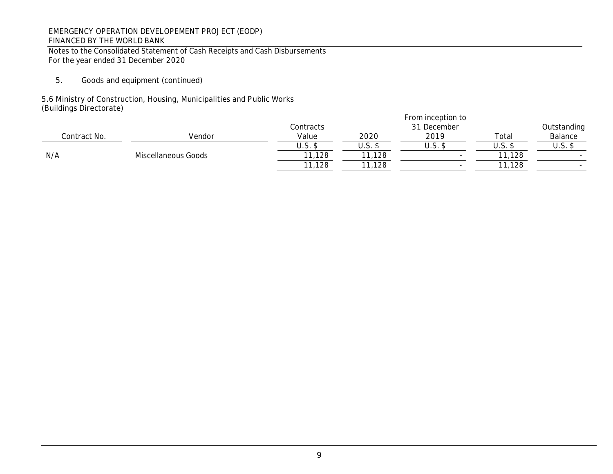Notes to the Consolidated Statement of Cash Receipts and Cash Disbursements For the year ended 31 December 2020

**5. Goods and equipment (continued)**

**5.6 Ministry of Construction, Housing, Municipalities and Public Works (Buildings Directorate)**

|              |                     |            | From inception to<br>31 December<br>Contracts |                          |        |                        |  |
|--------------|---------------------|------------|-----------------------------------------------|--------------------------|--------|------------------------|--|
| Contract No. | Vendor              | Value      | 2020                                          | 2019                     | Total  | Outstanding<br>Balance |  |
|              |                     | $U.S.$ \$  | $U.S.$ \$                                     | $\sim$<br>U.S. 3         | U.S.   | U.S. 1                 |  |
| N/A          | Miscellaneous Goods | .128       | 11,128                                        |                          | 11,128 |                        |  |
|              |                     | ,128<br>11 | 11,128                                        | $\overline{\phantom{0}}$ | 11,128 |                        |  |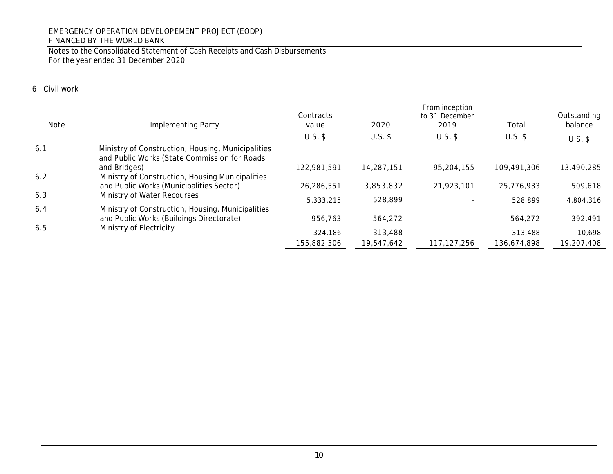Notes to the Consolidated Statement of Cash Receipts and Cash Disbursements For the year ended 31 December 2020

# **6. Civil work**

| Note | Implementing Party                                                                                | Contracts<br>value | 2020       | From inception<br>to 31 December<br>2019 | Total       | Outstanding<br>balance |
|------|---------------------------------------------------------------------------------------------------|--------------------|------------|------------------------------------------|-------------|------------------------|
|      |                                                                                                   | $U.S.$ \$          | $U.S.$ \$  | $U.S.$ \$                                | $U.S.$ \$   | $U.S.$ \$              |
| 6.1  | Ministry of Construction, Housing, Municipalities<br>and Public Works (State Commission for Roads |                    |            |                                          |             |                        |
| 6.2  | and Bridges)<br>Ministry of Construction, Housing Municipalities                                  | 122.981.591        | 14,287,151 | 95,204,155                               | 109,491,306 | 13,490,285             |
|      | and Public Works (Municipalities Sector)                                                          | 26,286,551         | 3,853,832  | 21,923,101                               | 25,776,933  | 509,618                |
| 6.3  | Ministry of Water Recourses                                                                       | 5,333,215          | 528,899    |                                          | 528.899     | 4,804,316              |
| 6.4  | Ministry of Construction, Housing, Municipalities<br>and Public Works (Buildings Directorate)     | 956,763            | 564,272    |                                          | 564,272     | 392,491                |
| 6.5  | Ministry of Electricity                                                                           | 324,186            | 313,488    |                                          | 313,488     | 10,698                 |
|      |                                                                                                   | 155,882,306        | 19,547,642 | 117, 127, 256                            | 136,674,898 | 19,207,408             |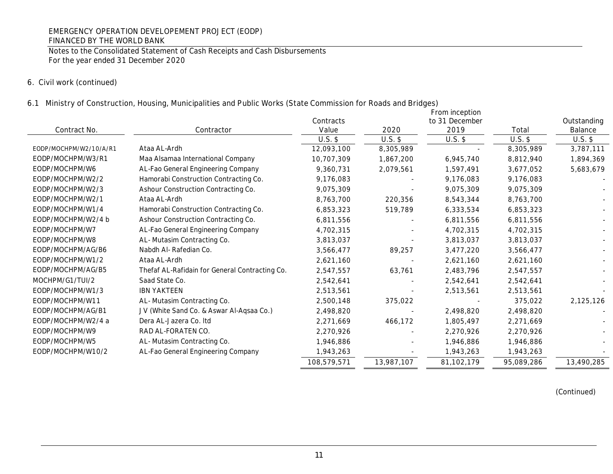Notes to the Consolidated Statement of Cash Receipts and Cash Disbursements For the year ended 31 December 2020

### **6. Civil work (continued)**

#### **6.1 Ministry of Construction, Housing, Municipalities and Public Works (State Commission for Roads and Bridges)**

|                        |                                                |             |                          | From inception |            |             |
|------------------------|------------------------------------------------|-------------|--------------------------|----------------|------------|-------------|
|                        |                                                | Contracts   |                          | to 31 December |            | Outstanding |
| Contract No.           | Contractor                                     | Value       | 2020                     | 2019           | Total      | Balance     |
|                        |                                                | $U.S.$ \$   | $U.S.$ \$                | $U.S.$ \$      | $U.S.$ \$  | $U.S.$ \$   |
| EODP/MOCHPM/W2/10/A/R1 | Ataa AL-Ardh                                   | 12,093,100  | 8,305,989                |                | 8,305,989  | 3,787,111   |
| EODP/MOCHPM/W3/R1      | Maa Alsamaa International Company              | 10,707,309  | 1,867,200                | 6,945,740      | 8,812,940  | 1,894,369   |
| EODP/MOCHPM/W6         | AL-Fao General Engineering Company             | 9,360,731   | 2,079,561                | 1,597,491      | 3,677,052  | 5,683,679   |
| EODP/MOCHPM/W2/2       | Hamorabi Construction Contracting Co.          | 9,176,083   |                          | 9,176,083      | 9,176,083  |             |
| EODP/MOCHPM/W2/3       | Ashour Construction Contracting Co.            | 9,075,309   |                          | 9,075,309      | 9,075,309  |             |
| EODP/MOCHPM/W2/1       | Ataa AL-Ardh                                   | 8,763,700   | 220,356                  | 8,543,344      | 8,763,700  |             |
| EODP/MOCHPM/W1/4       | Hamorabi Construction Contracting Co.          | 6,853,323   | 519,789                  | 6,333,534      | 6,853,323  |             |
| EODP/MOCHPM/W2/4 b     | Ashour Construction Contracting Co.            | 6,811,556   |                          | 6,811,556      | 6,811,556  |             |
| EODP/MOCHPM/W7         | AL-Fao General Engineering Company             | 4,702,315   |                          | 4,702,315      | 4,702,315  |             |
| EODP/MOCHPM/W8         | AL-Mutasim Contracting Co.                     | 3,813,037   |                          | 3,813,037      | 3,813,037  |             |
| EODP/MOCHPM/AG/B6      | Nabdh Al-Rafedian Co.                          | 3,566,477   | 89,257                   | 3,477,220      | 3,566,477  | $\sim$      |
| EODP/MOCHPM/W1/2       | Ataa AL-Ardh                                   | 2,621,160   | $\sim$                   | 2,621,160      | 2,621,160  |             |
| EODP/MOCHPM/AG/B5      | Thefaf AL-Rafidain for General Contracting Co. | 2,547,557   | 63,761                   | 2,483,796      | 2,547,557  |             |
| MOCHPM/G1/TUI/2        | Saad State Co.                                 | 2,542,641   | $\overline{\phantom{a}}$ | 2,542,641      | 2,542,641  |             |
| EODP/MOCHPM/W1/3       | <b>IBN YAKTEEN</b>                             | 2,513,561   |                          | 2,513,561      | 2,513,561  |             |
| EODP/MOCHPM/W11        | AL-Mutasim Contracting Co.                     | 2,500,148   | 375,022                  |                | 375,022    | 2,125,126   |
| EODP/MOCHPM/AG/B1      | JV (White Sand Co. & Aswar Al-Aqsaa Co.)       | 2,498,820   |                          | 2,498,820      | 2,498,820  |             |
| EODP/MOCHPM/W2/4 a     | Dera AL-Jazera Co. Itd                         | 2,271,669   | 466,172                  | 1,805,497      | 2,271,669  |             |
| EODP/MOCHPM/W9         | RAD AL-FORATEN CO.                             | 2,270,926   |                          | 2,270,926      | 2,270,926  |             |
| EODP/MOCHPM/W5         | AL-Mutasim Contracting Co.                     | 1,946,886   |                          | 1,946,886      | 1,946,886  |             |
| EODP/MOCHPM/W10/2      | AL-Fao General Engineering Company             | 1,943,263   |                          | 1,943,263      | 1,943,263  |             |
|                        |                                                | 108,579,571 | 13.987.107               | 81.102.179     | 95.089.286 | 13,490,285  |

 **(Continued)**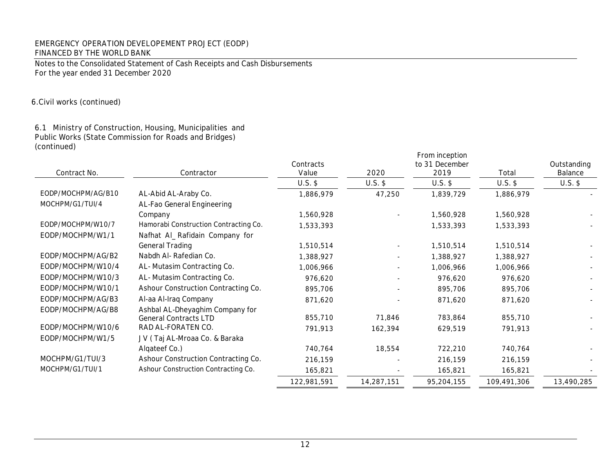Notes to the Consolidated Statement of Cash Receipts and Cash Disbursements For the year ended 31 December 2020

# **6.Civil works (continued)**

**6.1 Ministry of Construction, Housing, Municipalities and Public Works (State Commission for Roads and Bridges) (continued)**

| Contract No.       | Contractor                            | Contracts<br>Value | 2020                     | From inception<br>to 31 December<br>2019 | Total       | Outstanding<br>Balance |
|--------------------|---------------------------------------|--------------------|--------------------------|------------------------------------------|-------------|------------------------|
|                    |                                       | $U.S.$ \$          | $U.S.$ \$                | $U.S.$ \$                                | $U.S.$ \$   | $U.S.$ \$              |
| EODP/MOCHPM/AG/B10 | AL-Abid AL-Araby Co.                  | 1,886,979          | 47,250                   | 1,839,729                                | 1,886,979   |                        |
| MOCHPM/G1/TUI/4    | AL-Fao General Engineering            |                    |                          |                                          |             |                        |
|                    | Company                               | 1,560,928          |                          | 1,560,928                                | 1,560,928   |                        |
| EODP/MOCHPM/W10/7  | Hamorabi Construction Contracting Co. | 1,533,393          |                          | 1,533,393                                | 1,533,393   |                        |
| EODP/MOCHPM/W1/1   | Nafhat Al_Rafidain Company for        |                    |                          |                                          |             |                        |
|                    | <b>General Trading</b>                | 1,510,514          |                          | 1,510,514                                | 1,510,514   |                        |
| EODP/MOCHPM/AG/B2  | Nabdh Al- Rafedian Co.                | 1,388,927          |                          | 1,388,927                                | 1,388,927   |                        |
| EODP/MOCHPM/W10/4  | AL-Mutasim Contracting Co.            | 1,006,966          | $\overline{\phantom{a}}$ | 1,006,966                                | 1,006,966   | $\sim$                 |
| EODP/MOCHPM/W10/3  | AL-Mutasim Contracting Co.            | 976,620            |                          | 976,620                                  | 976,620     |                        |
| EODP/MOCHPM/W10/1  | Ashour Construction Contracting Co.   | 895,706            | $\sim$                   | 895,706                                  | 895,706     |                        |
| EODP/MOCHPM/AG/B3  | Al-aa Al-Iraq Company                 | 871,620            |                          | 871,620                                  | 871,620     |                        |
| EODP/MOCHPM/AG/B8  | Ashbal AL-Dheyaghim Company for       |                    |                          |                                          |             |                        |
|                    | <b>General Contracts LTD</b>          | 855,710            | 71,846                   | 783,864                                  | 855,710     |                        |
| EODP/MOCHPM/W10/6  | RAD AL-FORATEN CO.                    | 791,913            | 162,394                  | 629,519                                  | 791,913     |                        |
| EODP/MOCHPM/W1/5   | JV (Taj AL-Mroaa Co. & Baraka         |                    |                          |                                          |             |                        |
|                    | Algateef Co.)                         | 740,764            | 18,554                   | 722,210                                  | 740,764     |                        |
| MOCHPM/G1/TUI/3    | Ashour Construction Contracting Co.   | 216,159            |                          | 216,159                                  | 216,159     |                        |
| MOCHPM/G1/TUI/1    | Ashour Construction Contracting Co.   | 165,821            |                          | 165,821                                  | 165,821     |                        |
|                    |                                       | 122,981,591        | 14,287,151               | 95,204,155                               | 109,491,306 | 13,490,285             |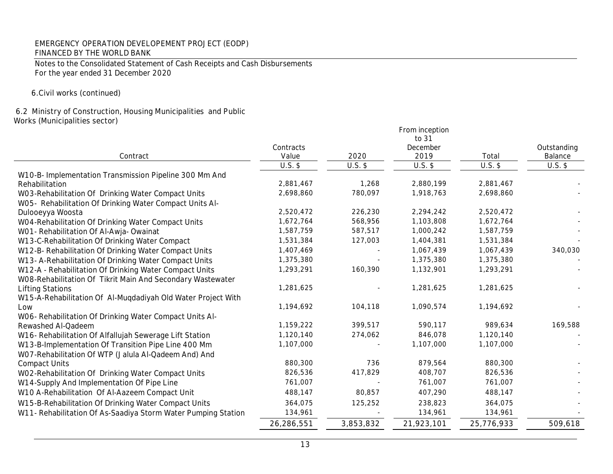Notes to the Consolidated Statement of Cash Receipts and Cash Disbursements For the year ended 31 December 2020

### **6.Civil works (continued)**

#### **6.2 Ministry of Construction, Housing Municipalities and Public Works (Municipalities sector)**

|                                                               |            |           | From inception<br>to 31 |            |             |
|---------------------------------------------------------------|------------|-----------|-------------------------|------------|-------------|
|                                                               | Contracts  |           | December                |            | Outstanding |
| Contract                                                      | Value      | 2020      | 2019                    | Total      | Balance     |
|                                                               | $U.S.$ \$  | $U.S.$ \$ | $U.S.$ \$               | $U.S.$ \$  | $U.S.$ \$   |
| W10-B- Implementation Transmission Pipeline 300 Mm And        |            |           |                         |            |             |
| Rehabilitation                                                | 2,881,467  | 1,268     | 2,880,199               | 2,881,467  |             |
| WO3-Rehabilitation Of Drinking Water Compact Units            | 2,698,860  | 780,097   | 1,918,763               | 2,698,860  |             |
| W05- Rehabilitation Of Drinking Water Compact Units Al-       |            |           |                         |            |             |
| Dulooeyya Woosta                                              | 2,520,472  | 226,230   | 2,294,242               | 2,520,472  |             |
| WO4-Rehabilitation Of Drinking Water Compact Units            | 1,672,764  | 568,956   | 1,103,808               | 1,672,764  |             |
| WO1- Rehabilitation Of Al-Awja- Owainat                       | 1,587,759  | 587,517   | 1,000,242               | 1,587,759  |             |
| W13-C-Rehabilitation Of Drinking Water Compact                | 1,531,384  | 127,003   | 1,404,381               | 1,531,384  |             |
| W12-B- Rehabilitation Of Drinking Water Compact Units         | 1,407,469  |           | 1,067,439               | 1,067,439  | 340,030     |
| W13- A-Rehabilitation Of Drinking Water Compact Units         | 1,375,380  |           | 1,375,380               | 1,375,380  |             |
| W12-A - Rehabilitation Of Drinking Water Compact Units        | 1,293,291  | 160,390   | 1,132,901               | 1,293,291  |             |
| WO8-Rehabilitation Of Tikrit Main And Secondary Wastewater    |            |           |                         |            |             |
| <b>Lifting Stations</b>                                       | 1,281,625  |           | 1,281,625               | 1,281,625  |             |
| W15-A-Rehabilitation Of Al-Muqdadiyah Old Water Project With  |            |           |                         |            |             |
| Low                                                           | 1,194,692  | 104,118   | 1,090,574               | 1,194,692  |             |
| WO6- Rehabilitation Of Drinking Water Compact Units Al-       |            |           |                         |            |             |
| Rewashed Al-Qadeem                                            | 1,159,222  | 399,517   | 590,117                 | 989,634    | 169,588     |
| W16- Rehabilitation Of Alfallujah Sewerage Lift Station       | 1,120,140  | 274,062   | 846,078                 | 1,120,140  |             |
| W13-B-Implementation Of Transition Pipe Line 400 Mm           | 1,107,000  |           | 1,107,000               | 1,107,000  |             |
| WO7-Rehabilitation Of WTP (Jalula Al-Qadeem And) And          |            |           |                         |            |             |
| <b>Compact Units</b>                                          | 880,300    | 736       | 879,564                 | 880,300    |             |
| WO2-Rehabilitation Of Drinking Water Compact Units            | 826,536    | 417,829   | 408,707                 | 826,536    |             |
| W14-Supply And Implementation Of Pipe Line                    | 761,007    |           | 761,007                 | 761,007    |             |
| W10 A-Rehabilitation Of Al-Aazeem Compact Unit                | 488,147    | 80,857    | 407,290                 | 488,147    |             |
| W15-B-Rehabilitation Of Drinking Water Compact Units          | 364,075    | 125,252   | 238,823                 | 364,075    |             |
| W11- Rehabilitation Of As-Saadiya Storm Water Pumping Station | 134,961    |           | 134,961                 | 134,961    |             |
|                                                               | 26,286,551 | 3,853,832 | 21,923,101              | 25,776,933 | 509,618     |
|                                                               |            |           |                         |            |             |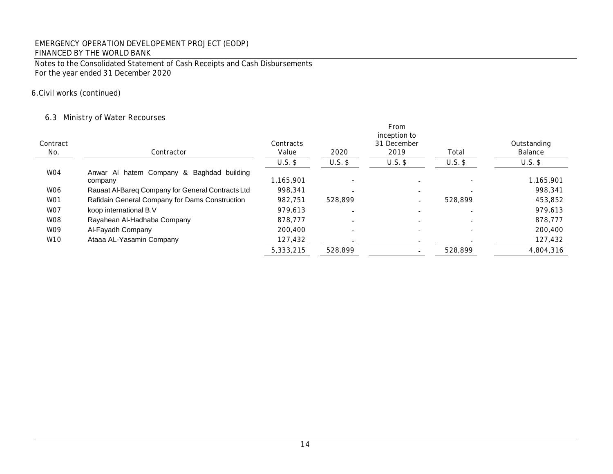Notes to the Consolidated Statement of Cash Receipts and Cash Disbursements For the year ended 31 December 2020

# **6.Civil works (continued)**

#### **6.3 Ministry of Water Recourses**

| Contract<br>No.  | Contractor                                           | Contracts<br>Value | 2020                     | From<br>inception to<br>31 December<br>2019 | Total     | Outstanding<br><b>Balance</b> |
|------------------|------------------------------------------------------|--------------------|--------------------------|---------------------------------------------|-----------|-------------------------------|
|                  |                                                      | $U.S.$ \$          | $U.S.$ \$                | $U.S.$ \$                                   | $U.S.$ \$ | $U.S.$ \$                     |
| WO4              | Anwar AI hatem Company & Baghdad building<br>company | 1,165,901          |                          |                                             |           | 1,165,901                     |
| W06              | Rauaat Al-Bareg Company for General Contracts Ltd    | 998,341            |                          |                                             |           | 998.341                       |
| W <sub>O</sub> 1 | Rafidain General Company for Dams Construction       | 982.751            | 528.899                  |                                             | 528.899   | 453,852                       |
| W <sub>O</sub> 7 | koop international B.V                               | 979.613            | $\overline{\phantom{a}}$ |                                             |           | 979,613                       |
| WO8              | Rayahean Al-Hadhaba Company                          | 878,777            | $\sim$                   |                                             |           | 878,777                       |
| W09              | Al-Fayadh Company                                    | 200,400            | $\sim$                   |                                             |           | 200,400                       |
| W <sub>10</sub>  | Ataaa AL-Yasamin Company                             | 127,432            |                          |                                             |           | 127,432                       |
|                  |                                                      | 5,333,215          | 528.899                  |                                             | 528.899   | 4,804,316                     |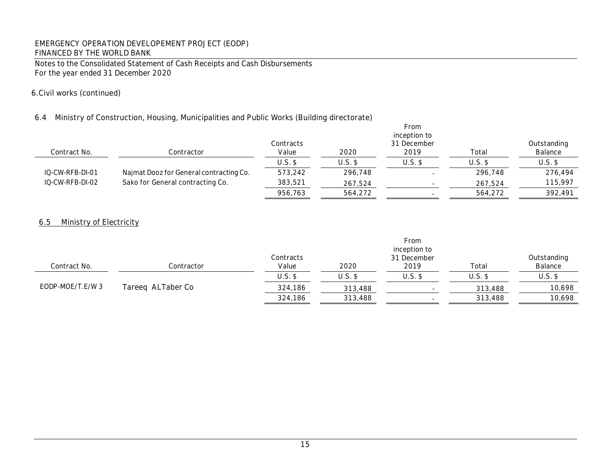Notes to the Consolidated Statement of Cash Receipts and Cash Disbursements For the year ended 31 December 2020

### **6.Civil works (continued)**

# **6.4 Ministry of Construction, Housing, Municipalities and Public Works (Building directorate)**

|                 |                                         |                    |           | From<br>inception to |           |                               |
|-----------------|-----------------------------------------|--------------------|-----------|----------------------|-----------|-------------------------------|
| Contract No.    | Contractor                              | Contracts<br>Value | 2020      | 31 December<br>2019  | Total     | Outstanding<br><b>Balance</b> |
|                 |                                         | $U.S.$ \$          | $U.S.$ \$ | $U.S.$ \$            | $U.S.$ \$ | $U.S.$ \$                     |
| IQ-CW-RFB-DI-01 | Najmat Dooz for General contracting Co. | 573,242            | 296,748   |                      | 296,748   | 276,494                       |
| IQ-CW-RFB-DI-02 | Sako for General contracting Co.        | 383,521            | 267,524   |                      | 267,524   | 115,997                       |
|                 |                                         | 956,763            | 564,272   |                      | 564,272   | 392,491                       |

#### **6.5 Ministry of Electricity**

|                  |                   |           |           | From         |           |             |
|------------------|-------------------|-----------|-----------|--------------|-----------|-------------|
|                  |                   |           |           | inception to |           |             |
|                  |                   | Contracts |           | 31 December  |           | Outstanding |
| Contract No.     | Contractor        | Value     | 2020      | 2019         | Total     | Balance     |
|                  |                   | $U.S.$ \$ | $U.S.$ \$ | $U.S.$ \$    | $U.S.$ \$ | $U.S.$ \$   |
| EODP-MOE/T.E/W 3 | Tareeq ALTaber Co | 324,186   | 313,488   |              | 313,488   | 10,698      |
|                  |                   | 324,186   | 313,488   |              | 313,488   | 10,698      |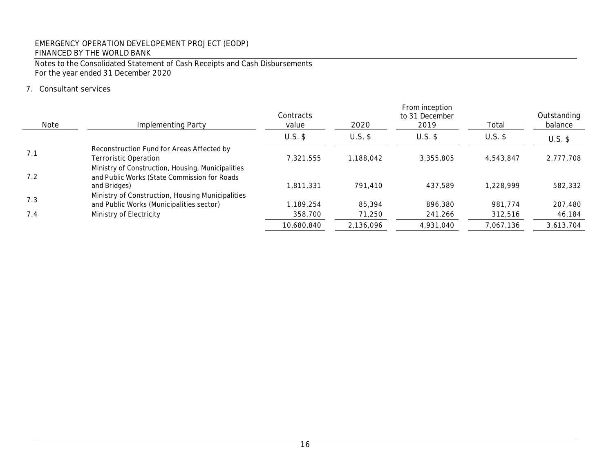Notes to the Consolidated Statement of Cash Receipts and Cash Disbursements For the year ended 31 December 2020

# **7. Consultant services**

| Note | <b>Implementing Party</b>                                                                                                         | Contracts<br>value | 2020      | From inception<br>to 31 December<br>2019 | Total     | Outstanding<br>balance |
|------|-----------------------------------------------------------------------------------------------------------------------------------|--------------------|-----------|------------------------------------------|-----------|------------------------|
|      |                                                                                                                                   | $U.S.$ \$          | $U.S.$ \$ | $U.S.$ \$                                | $U.S.$ \$ | $U.S.$ \$              |
| 7.1  | Reconstruction Fund for Areas Affected by                                                                                         |                    |           | 3,355,805                                |           |                        |
| 7.2  | <b>Terroristic Operation</b><br>Ministry of Construction, Housing, Municipalities<br>and Public Works (State Commission for Roads | 7,321,555          | 1,188,042 |                                          | 4,543,847 | 2,777,708              |
|      | and Bridges)                                                                                                                      | 1,811,331          | 791,410   | 437,589                                  | 1.228.999 | 582,332                |
| 7.3  | Ministry of Construction, Housing Municipalities                                                                                  |                    |           |                                          |           |                        |
|      | and Public Works (Municipalities sector)                                                                                          | 1.189.254          | 85,394    | 896,380                                  | 981.774   | 207,480                |
| 7.4  | Ministry of Electricity                                                                                                           | 358,700            | 71,250    | 241,266                                  | 312,516   | 46,184                 |
|      |                                                                                                                                   | 10.680.840         | 2.136.096 | 4,931,040                                | 7.067.136 | 3.613.704              |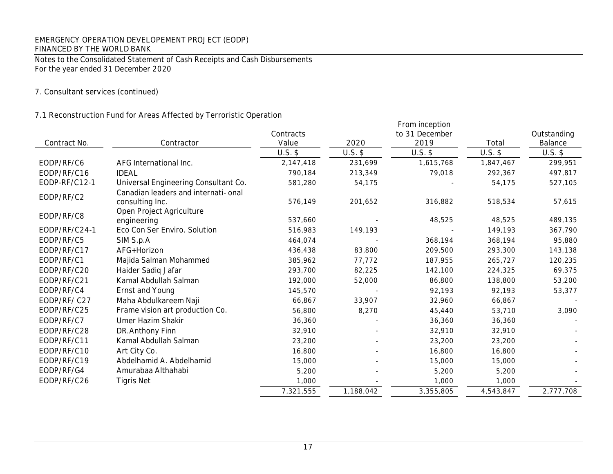Notes to the Consolidated Statement of Cash Receipts and Cash Disbursements For the year ended 31 December 2020

# **7. Consultant services (continued)**

### **7.1 Reconstruction Fund for Areas Affected by Terroristic Operation**

|               |                                                        | Contracts |           | From inception<br>to 31 December |           | Outstanding |
|---------------|--------------------------------------------------------|-----------|-----------|----------------------------------|-----------|-------------|
| Contract No.  | Contractor                                             | Value     | 2020      | 2019                             | Total     | Balance     |
|               |                                                        | $U.S.$ \$ | $U.S.$ \$ | $U.S.$ \$                        | $U.S.$ \$ | $U.S.$ \$   |
| EODP/RF/C6    | AFG International Inc.                                 | 2,147,418 | 231,699   | 1,615,768                        | 1,847,467 | 299,951     |
| EODP/RF/C16   | <b>IDEAL</b>                                           | 790,184   | 213,349   | 79,018                           | 292,367   | 497,817     |
| EODP-RF/C12-1 | Universal Engineering Consultant Co.                   | 581,280   | 54,175    |                                  | 54,175    | 527,105     |
| EODP/RF/C2    | Canadian leaders and internati-onal<br>consulting Inc. | 576,149   | 201,652   | 316,882                          | 518,534   | 57,615      |
| EODP/RF/C8    | Open Project Agriculture                               |           |           |                                  |           |             |
|               | engineering                                            | 537,660   |           | 48,525                           | 48,525    | 489,135     |
| EODP/RF/C24-1 | Eco Con Ser Enviro. Solution                           | 516,983   | 149,193   |                                  | 149,193   | 367,790     |
| EODP/RF/C5    | SIM S.p.A                                              | 464,074   |           | 368,194                          | 368,194   | 95,880      |
| EODP/RF/C17   | AFG+Horizon                                            | 436,438   | 83,800    | 209,500                          | 293,300   | 143,138     |
| EODP/RF/C1    | Majida Salman Mohammed                                 | 385,962   | 77,772    | 187,955                          | 265,727   | 120,235     |
| EODP/RF/C20   | Haider Sadiq Jafar                                     | 293,700   | 82,225    | 142,100                          | 224,325   | 69,375      |
| EODP/RF/C21   | Kamal Abdullah Salman                                  | 192,000   | 52,000    | 86,800                           | 138,800   | 53,200      |
| EODP/RF/C4    | Ernst and Young                                        | 145,570   |           | 92,193                           | 92,193    | 53,377      |
| EODP/RF/C27   | Maha Abdulkareem Naji                                  | 66,867    | 33,907    | 32,960                           | 66,867    |             |
| EODP/RF/C25   | Frame vision art production Co.                        | 56,800    | 8,270     | 45,440                           | 53,710    | 3,090       |
| EODP/RF/C7    | Umer Hazim Shakir                                      | 36,360    |           | 36,360                           | 36,360    |             |
| EODP/RF/C28   | DR.Anthony Finn                                        | 32,910    |           | 32,910                           | 32,910    |             |
| EODP/RF/C11   | Kamal Abdullah Salman                                  | 23,200    |           | 23,200                           | 23,200    |             |
| EODP/RF/C10   | Art City Co.                                           | 16,800    |           | 16,800                           | 16,800    |             |
| EODP/RF/C19   | Abdelhamid A. Abdelhamid                               | 15,000    |           | 15,000                           | 15,000    |             |
| EODP/RF/G4    | Amurabaa Althahabi                                     | 5,200     |           | 5,200                            | 5,200     |             |
| EODP/RF/C26   | <b>Tigris Net</b>                                      | 1,000     |           | 1,000                            | 1,000     |             |
|               |                                                        | 7,321,555 | 1,188,042 | 3,355,805                        | 4,543,847 | 2,777,708   |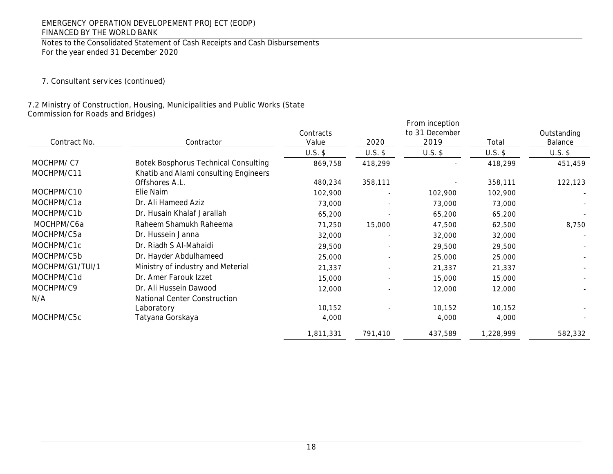Notes to the Consolidated Statement of Cash Receipts and Cash Disbursements For the year ended 31 December 2020

### **7. Consultant services (continued)**

#### **7.2 Ministry of Construction, Housing, Municipalities and Public Works (State Commission for Roads and Bridges)**

| Contract No.    | Contractor                                  | Contracts<br>Value | 2020      | From inception<br>to 31 December<br>2019 | Total     | Outstanding<br><b>Balance</b> |
|-----------------|---------------------------------------------|--------------------|-----------|------------------------------------------|-----------|-------------------------------|
|                 |                                             | $U.S.$ \$          | $U.S.$ \$ | $U.S.$ \$                                | $U.S.$ \$ | $U.S.$ \$                     |
| MOCHPM/C7       | <b>Botek Bosphorus Technical Consulting</b> | 869,758            | 418,299   |                                          | 418,299   | 451,459                       |
| MOCHPM/C11      | Khatib and Alami consulting Engineers       |                    |           |                                          |           |                               |
|                 | Offshores A.L.                              | 480,234            | 358,111   |                                          | 358,111   | 122,123                       |
| MOCHPM/C10      | Elie Naim                                   | 102,900            |           | 102,900                                  | 102,900   |                               |
| MOCHPM/C1a      | Dr. Ali Hameed Aziz                         | 73,000             |           | 73,000                                   | 73,000    |                               |
| MOCHPM/C1b      | Dr. Husain Khalaf Jarallah                  | 65,200             |           | 65,200                                   | 65,200    |                               |
| MOCHPM/C6a      | Raheem Shamukh Raheema                      | 71,250             | 15,000    | 47,500                                   | 62,500    | 8,750                         |
| MOCHPM/C5a      | Dr. Hussein Janna                           | 32,000             |           | 32,000                                   | 32,000    |                               |
| MOCHPM/C1c      | Dr. Riadh S Al-Mahaidi                      | 29,500             |           | 29,500                                   | 29,500    |                               |
| MOCHPM/C5b      | Dr. Hayder Abdulhameed                      | 25,000             |           | 25,000                                   | 25,000    |                               |
| MOCHPM/G1/TUI/1 | Ministry of industry and Meterial           | 21,337             |           | 21,337                                   | 21,337    |                               |
| MOCHPM/C1d      | Dr. Amer Farouk Izzet                       | 15,000             |           | 15,000                                   | 15,000    |                               |
| MOCHPM/C9       | Dr. Ali Hussein Dawood                      | 12,000             |           | 12,000                                   | 12,000    |                               |
| N/A             | National Center Construction                |                    |           |                                          |           |                               |
|                 | Laboratory                                  | 10,152             |           | 10,152                                   | 10,152    |                               |
| MOCHPM/C5c      | Tatyana Gorskaya                            | 4,000              |           | 4,000                                    | 4,000     |                               |
|                 |                                             | 1,811,331          | 791,410   | 437,589                                  | 1,228,999 | 582,332                       |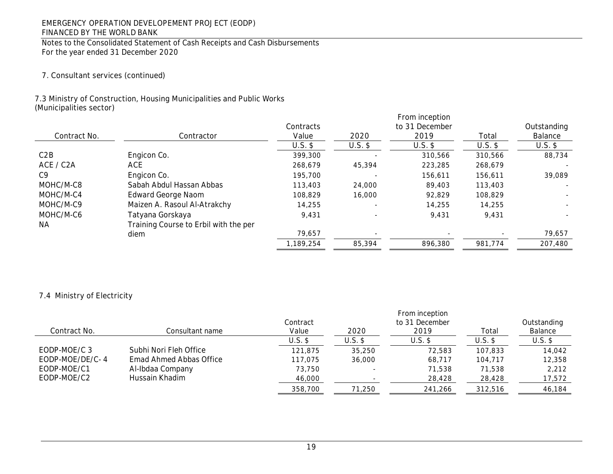Notes to the Consolidated Statement of Cash Receipts and Cash Disbursements For the year ended 31 December 2020

### **7. Consultant services (continued)**

#### **7.3 Ministry of Construction, Housing Municipalities and Public Works (Municipalities sector)**

|              |                                       | Contracts |           | From inception<br>to 31 December |           | Outstanding |
|--------------|---------------------------------------|-----------|-----------|----------------------------------|-----------|-------------|
| Contract No. | Contractor                            | Value     | 2020      | 2019                             | Total     | Balance     |
|              |                                       | $U.S.$ \$ | $U.S.$ \$ | $U.S.$ \$                        | $U.S.$ \$ | $U.S.$ \$   |
| C2B          | Engicon Co.                           | 399,300   |           | 310,566                          | 310,566   | 88,734      |
| ACE / C2A    | ACE                                   | 268.679   | 45,394    | 223,285                          | 268.679   |             |
| C9           | Engicon Co.                           | 195,700   |           | 156,611                          | 156.611   | 39,089      |
| MOHC/M-C8    | Sabah Abdul Hassan Abbas              | 113,403   | 24,000    | 89,403                           | 113,403   |             |
| MOHC/M-C4    | <b>Edward George Naom</b>             | 108,829   | 16,000    | 92,829                           | 108,829   |             |
| MOHC/M-C9    | Maizen A. Rasoul Al-Atrakchy          | 14,255    |           | 14,255                           | 14,255    |             |
| MOHC/M-C6    | Tatyana Gorskaya                      | 9,431     |           | 9,431                            | 9,431     |             |
| NA.          | Training Course to Erbil with the per |           |           |                                  |           |             |
|              | diem                                  | 79,657    |           |                                  |           | 79,657      |
|              |                                       | 1.189.254 | 85,394    | 896,380                          | 981.774   | 207,480     |

### **7.4 Ministry of Electricity**

|                 |                         |           |           | From inception |           |             |
|-----------------|-------------------------|-----------|-----------|----------------|-----------|-------------|
|                 |                         | Contract  |           | to 31 December |           | Outstanding |
| Contract No.    | Consultant name         | Value     | 2020      | 2019           | Total     | Balance     |
|                 |                         | $U.S.$ \$ | $U.S.$ \$ | $U.S.$ \$      | $U.S.$ \$ | $U.S.$ \$   |
| EODP-MOE/C 3    | Subhi Nori Fleh Office  | 121,875   | 35,250    | 72,583         | 107,833   | 14,042      |
| EODP-MOE/DE/C-4 | Emad Ahmed Abbas Office | 117,075   | 36,000    | 68.717         | 104,717   | 12,358      |
| EODP-MOE/C1     | Al-Ibdaa Company        | 73,750    |           | 71,538         | 71,538    | 2,212       |
| EODP-MOE/C2     | Hussain Khadim          | 46,000    |           | 28,428         | 28,428    | 17,572      |
|                 |                         | 358,700   | 71,250    | 241,266        | 312.516   | 46,184      |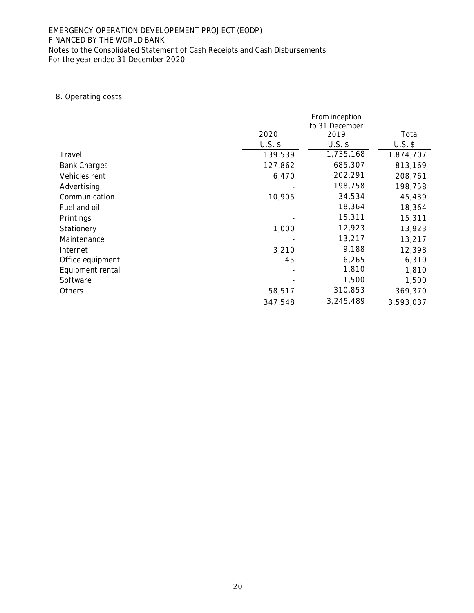### Notes to the Consolidated Statement of Cash Receipts and Cash Disbursements For the year ended 31 December 2020

# **8. Operating costs**

|                     |           | From inception |           |
|---------------------|-----------|----------------|-----------|
|                     |           | to 31 December |           |
|                     | 2020      | 2019           | Total     |
|                     | $U.S.$ \$ | $U.S.$ \$      | $U.S.$ \$ |
| Travel              | 139,539   | 1,735,168      | 1,874,707 |
| <b>Bank Charges</b> | 127,862   | 685,307        | 813,169   |
| Vehicles rent       | 6,470     | 202,291        | 208,761   |
| Advertising         |           | 198,758        | 198,758   |
| Communication       | 10,905    | 34,534         | 45,439    |
| Fuel and oil        |           | 18,364         | 18,364    |
| Printings           |           | 15,311         | 15,311    |
| Stationery          | 1,000     | 12,923         | 13,923    |
| Maintenance         |           | 13,217         | 13,217    |
| Internet            | 3,210     | 9,188          | 12,398    |
| Office equipment    | 45        | 6,265          | 6,310     |
| Equipment rental    |           | 1,810          | 1,810     |
| Software            |           | 1,500          | 1,500     |
| Others              | 58,517    | 310,853        | 369,370   |
|                     | 347,548   | 3,245,489      | 3,593,037 |